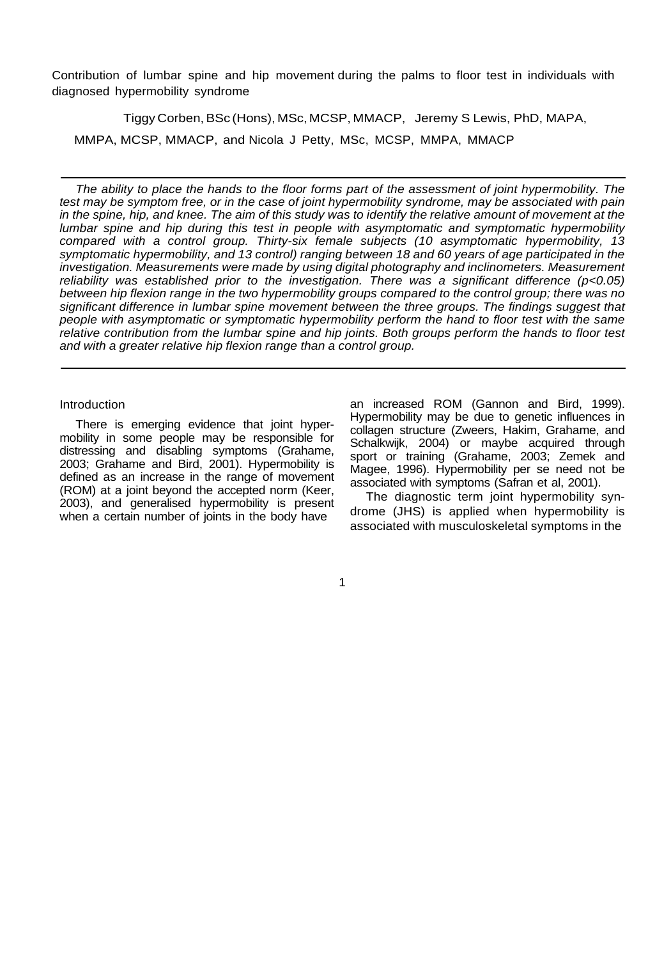Contribution of lumbar spine and hip movement during the palms to floor test in individuals with diagnosed hypermobility syndrome

Tiggy Corben, BSc (Hons), MSc, MCSP, MMACP, Jeremy S Lewis, PhD, MAPA, MMPA, MCSP, MMACP, and Nicola J Petty, MSc, MCSP, MMPA, MMACP

*The ability to place the hands to the floor forms part of the assessment of joint hypermobility. The* test may be symptom free, or in the case of joint hypermobility syndrome, may be associated with pain in the spine, hip, and knee. The aim of this study was to identify the relative amount of movement at the *lumbar spine and hip during this test in people with asymptomatic and symptomatic hypermobility compared with a control group. Thirty-six female subjects (10 asymptomatic hypermobility, 13 symptomatic hypermobility, and 13 control) ranging between 18 and 60 years of age participated in the investigation. Measurements were made by using digital photography and inclinometers. Measurement reliability was established prior to the investigation. There was a significant difference (p<0.05) between hip flexion range in the two hypermobility groups compared to the control group; there was no significant difference in lumbar spine movement between the three groups. The findings suggest that people with asymptomatic or symptomatic hypermobility perform the hand to floor test with the same relative contribution from the lumbar spine and hip joints. Both groups perform the hands to floor test and with a greater relative hip flexion range than a control group.*

# Introduction

There is emerging evidence that joint hypermobility in some people may be responsible for distressing and disabling symptoms (Grahame, 2003; Grahame and Bird, 2001). Hypermobility is defined as an increase in the range of movement (ROM) at a joint beyond the accepted norm (Keer, 2003), and generalised hypermobility is present when a certain number of joints in the body have

an increased ROM (Gannon and Bird, 1999). Hypermobility may be due to genetic influences in collagen structure (Zweers, Hakim, Grahame, and Schalkwijk, 2004) or maybe acquired through sport or training (Grahame, 2003; Zemek and Magee, 1996). Hypermobility per se need not be associated with symptoms (Safran et al, 2001).

The diagnostic term joint hypermobility syndrome (JHS) is applied when hypermobility is associated with musculoskeletal symptoms in the

1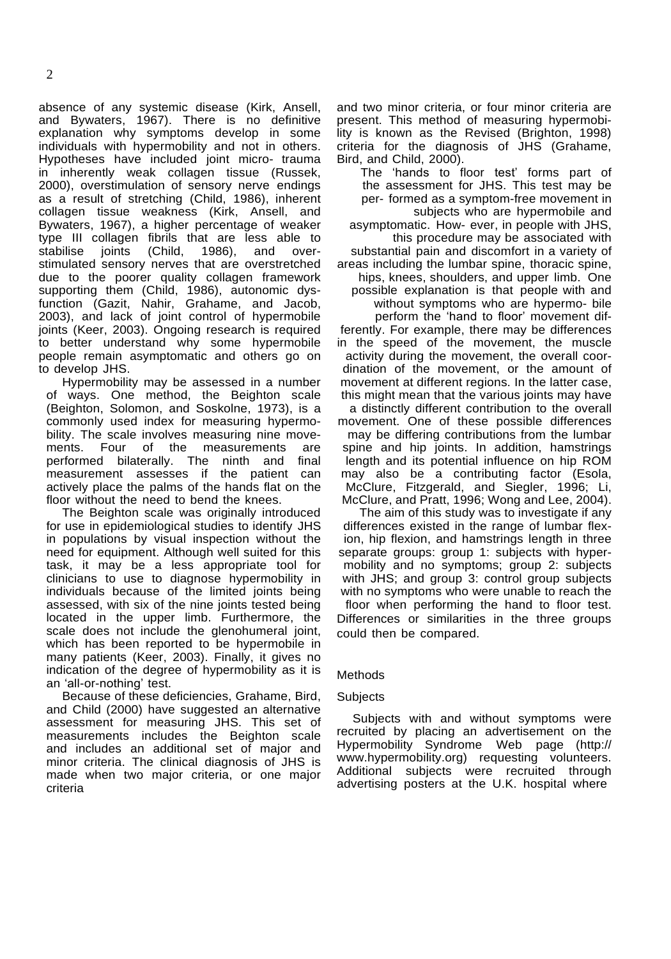absence of any systemic disease (Kirk, Ansell, and Bywaters, 1967). There is no definitive explanation why symptoms develop in some individuals with hypermobility and not in others. Hypotheses have included joint micro- trauma in inherently weak collagen tissue (Russek, 2000), overstimulation of sensory nerve endings as a result of stretching (Child, 1986), inherent collagen tissue weakness (Kirk, Ansell, and Bywaters, 1967), a higher percentage of weaker type III collagen fibrils that are less able to stabilise joints (Child, 1986), and overstimulated sensory nerves that are overstretched due to the poorer quality collagen framework supporting them (Child, 1986), autonomic dysfunction (Gazit, Nahir, Grahame, and Jacob, 2003), and lack of joint control of hypermobile joints (Keer, 2003). Ongoing research is required to better understand why some hypermobile people remain asymptomatic and others go on to develop JHS.

Hypermobility may be assessed in a number of ways. One method, the Beighton scale (Beighton, Solomon, and Soskolne, 1973), is a commonly used index for measuring hypermobility. The scale involves measuring nine movements. Four of the measurements are performed bilaterally. The ninth and final measurement assesses if the patient can actively place the palms of the hands flat on the floor without the need to bend the knees.

The Beighton scale was originally introduced for use in epidemiological studies to identify JHS in populations by visual inspection without the need for equipment. Although well suited for this task, it may be a less appropriate tool for clinicians to use to diagnose hypermobility in individuals because of the limited joints being assessed, with six of the nine joints tested being located in the upper limb. Furthermore, the scale does not include the glenohumeral joint, which has been reported to be hypermobile in many patients (Keer, 2003). Finally, it gives no indication of the degree of hypermobility as it is an 'all-or-nothing' test.

Because of these deficiencies, Grahame, Bird, and Child (2000) have suggested an alternative assessment for measuring JHS. This set of measurements includes the Beighton scale and includes an additional set of major and minor criteria. The clinical diagnosis of JHS is made when two major criteria, or one major criteria

and two minor criteria, or four minor criteria are present. This method of measuring hypermobility is known as the Revised (Brighton, 1998) criteria for the diagnosis of JHS (Grahame, Bird, and Child, 2000).

The 'hands to floor test' forms part of the assessment for JHS. This test may be per- formed as a symptom-free movement in subjects who are hypermobile and asymptomatic. How- ever, in people with JHS, this procedure may be associated with substantial pain and discomfort in a variety of areas including the lumbar spine, thoracic spine, hips, knees, shoulders, and upper limb. One possible explanation is that people with and without symptoms who are hypermo- bile perform the 'hand to floor' movement differently. For example, there may be differences in the speed of the movement, the muscle activity during the movement, the overall coordination of the movement, or the amount of movement at different regions. In the latter case, this might mean that the various joints may have a distinctly different contribution to the overall movement. One of these possible differences may be differing contributions from the lumbar spine and hip joints. In addition, hamstrings length and its potential influence on hip ROM may also be a contributing factor (Esola, McClure, Fitzgerald, and Siegler, 1996; Li,

McClure, and Pratt, 1996; Wong and Lee, 2004). The aim of this study was to investigate if any differences existed in the range of lumbar flexion, hip flexion, and hamstrings length in three separate groups: group 1: subjects with hypermobility and no symptoms; group 2: subjects with JHS; and group 3: control group subjects with no symptoms who were unable to reach the

floor when performing the hand to floor test. Differences or similarities in the three groups could then be compared.

## Methods

# **Subjects**

Subjects with and without symptoms were recruited by placing an advertisement on the Hypermobility Syndrome Web page (http:// www.hypermobility.org) requesting volunteers. Additional subjects were recruited through advertising posters at the U.K. hospital where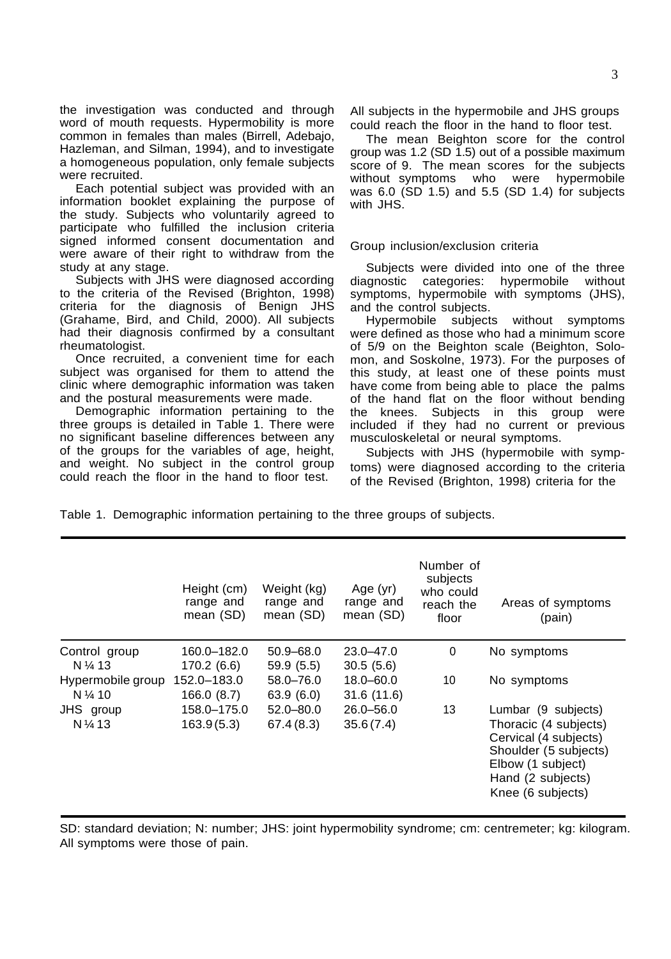the investigation was conducted and through word of mouth requests. Hypermobility is more common in females than males (Birrell, Adebajo, Hazleman, and Silman, 1994), and to investigate a homogeneous population, only female subjects were recruited.

Each potential subject was provided with an information booklet explaining the purpose of the study. Subjects who voluntarily agreed to participate who fulfilled the inclusion criteria signed informed consent documentation and were aware of their right to withdraw from the study at any stage.

Subjects with JHS were diagnosed according to the criteria of the Revised (Brighton, 1998) criteria for the diagnosis of Benign JHS (Grahame, Bird, and Child, 2000). All subjects had their diagnosis confirmed by a consultant rheumatologist.

Once recruited, a convenient time for each subject was organised for them to attend the clinic where demographic information was taken and the postural measurements were made.

Demographic information pertaining to the three groups is detailed in Table 1. There were no significant baseline differences between any of the groups for the variables of age, height, and weight. No subject in the control group could reach the floor in the hand to floor test.

All subjects in the hypermobile and JHS groups could reach the floor in the hand to floor test.

The mean Beighton score for the control group was 1.2 (SD 1.5) out of a possible maximum score of 9. The mean scores for the subjects without symptoms who were hypermobile was 6.0 (SD 1.5) and 5.5 (SD 1.4) for subjects with JHS.

Group inclusion/exclusion criteria

Subjects were divided into one of the three diagnostic categories: hypermobile without symptoms, hypermobile with symptoms (JHS),

and the control subjects.<br>Hypermobile subject subjects without symptoms were defined as those who had a minimum score of 5/9 on the Beighton scale (Beighton, Solomon, and Soskolne, 1973). For the purposes of this study, at least one of these points must have come from being able to place the palms of the hand flat on the floor without bending the knees. Subjects in this group were included if they had no current or previous musculoskeletal or neural symptoms.

Subjects with JHS (hypermobile with symptoms) were diagnosed according to the criteria of the Revised (Brighton, 1998) criteria for the

Table 1. Demographic information pertaining to the three groups of subjects.

|                                       | Height (cm)<br>range and<br>mean (SD) | Weight (kg)<br>range and<br>mean (SD) | Age (yr)<br>range and<br>mean (SD) | Number of<br>subjects<br>who could<br>reach the<br>floor | Areas of symptoms<br>(pain)                                                                                                                                   |
|---------------------------------------|---------------------------------------|---------------------------------------|------------------------------------|----------------------------------------------------------|---------------------------------------------------------------------------------------------------------------------------------------------------------------|
| Control group<br>N ¼ 13               | 160.0–182.0<br>170.2 (6.6)            | 50.9–68.0<br>59.9 (5.5)               | 23.0–47.0<br>30.5(5.6)             | 0                                                        | No symptoms                                                                                                                                                   |
| Hypermobile group<br>$N\frac{1}{4}10$ | 152.0-183.0<br>166.0(8.7)             | 58.0-76.0<br>63.9(6.0)                | 18.0-60.0<br>31.6(11.6)            | 10                                                       | No symptoms                                                                                                                                                   |
| JHS group<br>$N\frac{1}{4}$ 13        | 158.0-175.0<br>163.9(5.3)             | $52.0 - 80.0$<br>67.4(8.3)            | $26.0 - 56.0$<br>35.6(7.4)         | 13                                                       | Lumbar (9 subjects)<br>Thoracic (4 subjects)<br>Cervical (4 subjects)<br>Shoulder (5 subjects)<br>Elbow (1 subject)<br>Hand (2 subjects)<br>Knee (6 subjects) |

SD: standard deviation; N: number; JHS: joint hypermobility syndrome; cm: centremeter; kg: kilogram. All symptoms were those of pain.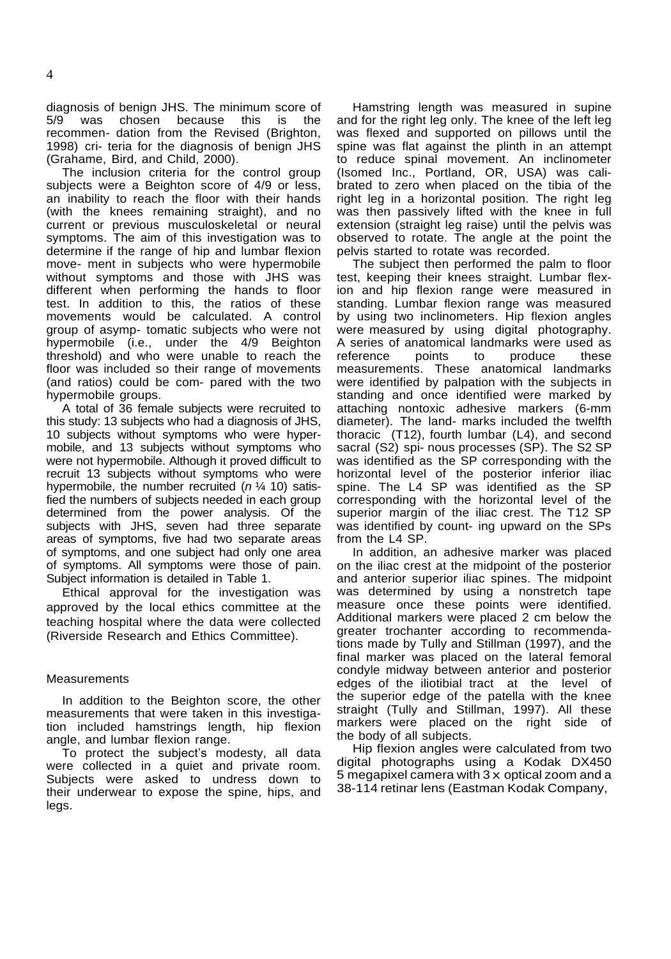diagnosis of benign JHS. The minimum score of 5/9 was chosen because this is the recommen- dation from the Revised (Brighton, 1998) cri- teria for the diagnosis of benign JHS (Grahame, Bird, and Child, 2000).

The inclusion criteria for the control group subjects were a Beighton score of 4/9 or less, an inability to reach the floor with their hands (with the knees remaining straight), and no current or previous musculoskeletal or neural symptoms. The aim of this investigation was to determine if the range of hip and lumbar flexion move- ment in subjects who were hypermobile without symptoms and those with JHS was different when performing the hands to floor test. In addition to this, the ratios of these movements would be calculated. A control group of asymp- tomatic subjects who were not hypermobile (i.e., under the 4/9 Beighton threshold) and who were unable to reach the floor was included so their range of movements (and ratios) could be com- pared with the two hypermobile groups.

A total of 36 female subjects were recruited to this study: 13 subjects who had a diagnosis of JHS, 10 subjects without symptoms who were hypermobile, and 13 subjects without symptoms who were not hypermobile. Although it proved difficult to recruit 13 subjects without symptoms who were hypermobile, the number recruited (*n* ¼ 10) satisfied the numbers of subjects needed in each group determined from the power analysis. Of the subjects with JHS, seven had three separate areas of symptoms, five had two separate areas of symptoms, and one subject had only one area of symptoms. All symptoms were those of pain. Subject information is detailed in Table 1.

Ethical approval for the investigation was approved by the local ethics committee at the teaching hospital where the data were collected (Riverside Research and Ethics Committee).

## **Measurements**

In addition to the Beighton score, the other measurements that were taken in this investigation included hamstrings length, hip flexion angle, and lumbar flexion range.

To protect the subject's modesty, all data were collected in a quiet and private room. Subjects were asked to undress down to their underwear to expose the spine, hips, and legs.

Hamstring length was measured in supine and for the right leg only. The knee of the left leg was flexed and supported on pillows until the spine was flat against the plinth in an attempt to reduce spinal movement. An inclinometer (Isomed Inc., Portland, OR, USA) was calibrated to zero when placed on the tibia of the right leg in a horizontal position. The right leg was then passively lifted with the knee in full extension (straight leg raise) until the pelvis was observed to rotate. The angle at the point the pelvis started to rotate was recorded.

The subject then performed the palm to floor test, keeping their knees straight. Lumbar flexion and hip flexion range were measured in standing. Lumbar flexion range was measured by using two inclinometers. Hip flexion angles were measured by using digital photography. A series of anatomical landmarks were used as reference points to produce these measurements. These anatomical landmarks were identified by palpation with the subjects in standing and once identified were marked by attaching nontoxic adhesive markers (6-mm diameter). The land- marks included the twelfth thoracic (T12), fourth lumbar (L4), and second sacral (S2) spi- nous processes (SP). The S2 SP was identified as the SP corresponding with the horizontal level of the posterior inferior iliac spine. The L4 SP was identified as the SP corresponding with the horizontal level of the superior margin of the iliac crest. The T12 SP was identified by count- ing upward on the SPs from the L4 SP.

In addition, an adhesive marker was placed on the iliac crest at the midpoint of the posterior and anterior superior iliac spines. The midpoint was determined by using a nonstretch tape measure once these points were identified. Additional markers were placed 2 cm below the greater trochanter according to recommendations made by Tully and Stillman (1997), and the final marker was placed on the lateral femoral condyle midway between anterior and posterior edges of the iliotibial tract at the level of the superior edge of the patella with the knee straight (Tully and Stillman, 1997). All these markers were placed on the right side of the body of all subjects.

Hip flexion angles were calculated from two digital photographs using a Kodak DX450 5 megapixel camera with 3 x optical zoom and a 38-114 retinar lens (Eastman Kodak Company,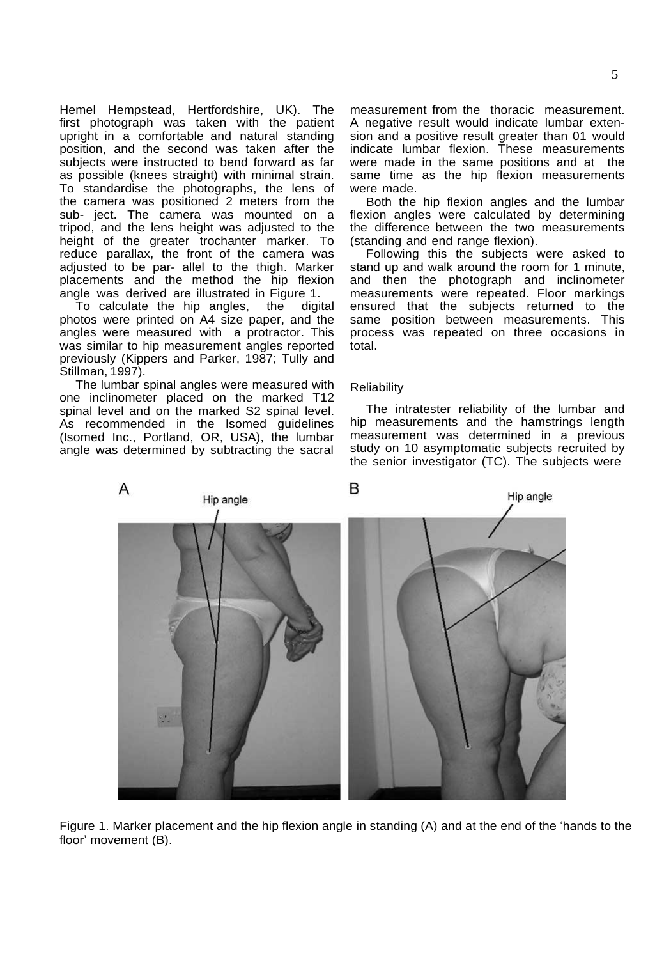Hemel Hempstead, Hertfordshire, UK). The first photograph was taken with the patient upright in a comfortable and natural standing position, and the second was taken after the subjects were instructed to bend forward as far as possible (knees straight) with minimal strain. To standardise the photographs, the lens of the camera was positioned 2 meters from the sub- ject. The camera was mounted on a tripod, and the lens height was adjusted to the height of the greater trochanter marker. To reduce parallax, the front of the camera was adjusted to be par- allel to the thigh. Marker placements and the method the hip flexion angle was derived are illustrated in Figure 1.

To calculate the hip angles, the digital photos were printed on A4 size paper, and the angles were measured with a protractor. This was similar to hip measurement angles reported previously (Kippers and Parker, 1987; Tully and Stillman, 1997).

The lumbar spinal angles were measured with one inclinometer placed on the marked T12 spinal level and on the marked S2 spinal level. As recommended in the Isomed guidelines (Isomed Inc., Portland, OR, USA), the lumbar angle was determined by subtracting the sacral

measurement from the thoracic measurement. A negative result would indicate lumbar extension and a positive result greater than 01 would indicate lumbar flexion. These measurements were made in the same positions and at the same time as the hip flexion measurements were made.

Both the hip flexion angles and the lumbar flexion angles were calculated by determining the difference between the two measurements (standing and end range flexion).

Following this the subjects were asked to stand up and walk around the room for 1 minute, and then the photograph and inclinometer measurements were repeated. Floor markings ensured that the subjects returned to the same position between measurements. This process was repeated on three occasions in total.

## Reliability

The intratester reliability of the lumbar and hip measurements and the hamstrings length measurement was determined in a previous study on 10 asymptomatic subjects recruited by the senior investigator (TC). The subjects were



Figure 1. Marker placement and the hip flexion angle in standing (A) and at the end of the 'hands to the floor' movement (B).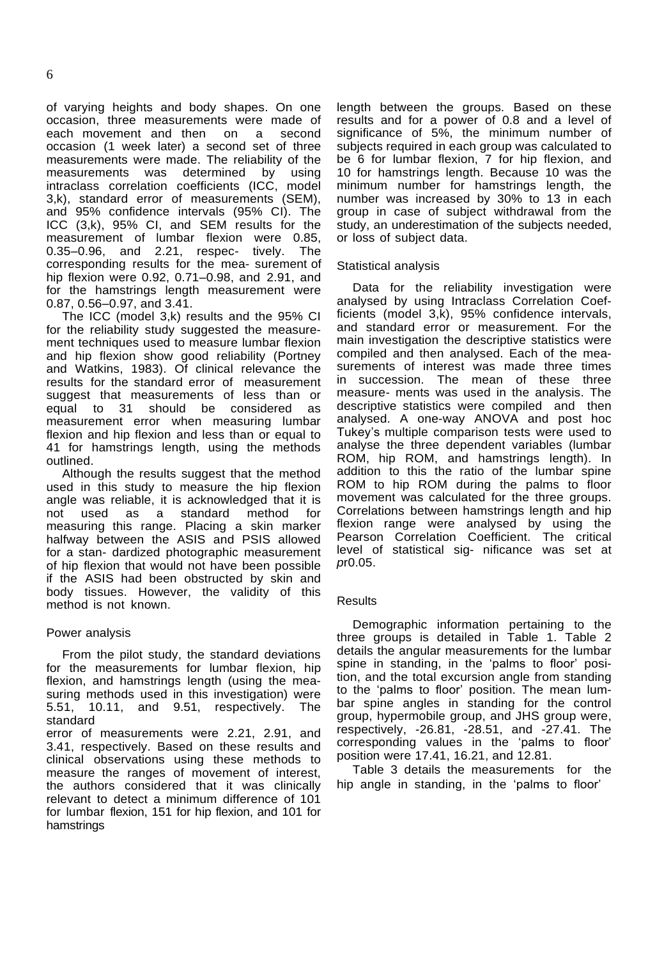of varying heights and body shapes. On one occasion, three measurements were made of each movement and then on a second occasion (1 week later) a second set of three measurements were made. The reliability of the measurements was determined by using intraclass correlation coefficients (ICC, model 3,k), standard error of measurements (SEM), and 95% confidence intervals (95% CI). The ICC (3,k), 95% CI, and SEM results for the measurement of lumbar flexion were 0.85, 0.35–0.96, and 2.21, respec- tively. The corresponding results for the mea- surement of hip flexion were 0.92, 0.71–0.98, and 2.91, and for the hamstrings length measurement were 0.87, 0.56–0.97, and 3.41.

The ICC (model 3,k) results and the 95% CI for the reliability study suggested the measurement techniques used to measure lumbar flexion and hip flexion show good reliability (Portney and Watkins, 1983). Of clinical relevance the results for the standard error of measurement suggest that measurements of less than or equal to 31 should be considered as measurement error when measuring lumbar flexion and hip flexion and less than or equal to 41 for hamstrings length, using the methods outlined.

Although the results suggest that the method used in this study to measure the hip flexion angle was reliable, it is acknowledged that it is not used as a standard method for measuring this range. Placing a skin marker halfway between the ASIS and PSIS allowed for a stan- dardized photographic measurement of hip flexion that would not have been possible if the ASIS had been obstructed by skin and body tissues. However, the validity of this method is not known.

## Power analysis

From the pilot study, the standard deviations for the measurements for lumbar flexion, hip flexion, and hamstrings length (using the measuring methods used in this investigation) were 5.51, 10.11, and 9.51, respectively. The standard

error of measurements were 2.21, 2.91, and 3.41, respectively. Based on these results and clinical observations using these methods to measure the ranges of movement of interest, the authors considered that it was clinically relevant to detect a minimum difference of 101 for lumbar flexion, 151 for hip flexion, and 101 for hamstrings

length between the groups. Based on these results and for a power of 0.8 and a level of significance of 5%, the minimum number of subjects required in each group was calculated to be 6 for lumbar flexion, 7 for hip flexion, and 10 for hamstrings length. Because 10 was the minimum number for hamstrings length, the number was increased by 30% to 13 in each group in case of subject withdrawal from the study, an underestimation of the subjects needed, or loss of subject data.

#### Statistical analysis

Data for the reliability investigation were analysed by using Intraclass Correlation Coefficients (model 3,k), 95% confidence intervals, and standard error or measurement. For the main investigation the descriptive statistics were compiled and then analysed. Each of the measurements of interest was made three times succession. The mean of these three measure- ments was used in the analysis. The descriptive statistics were compiled and then analysed. A one-way ANOVA and post hoc Tukey's multiple comparison tests were used to analyse the three dependent variables (lumbar ROM, hip ROM, and hamstrings length). In addition to this the ratio of the lumbar spine ROM to hip ROM during the palms to floor movement was calculated for the three groups. Correlations between hamstrings length and hip flexion range were analysed by using the Pearson Correlation Coefficient. The critical level of statistical sig- nificance was set at *p*r0.05.

## **Results**

Demographic information pertaining to the three groups is detailed in Table 1. Table 2 details the angular measurements for the lumbar spine in standing, in the 'palms to floor' position, and the total excursion angle from standing to the 'palms to floor' position. The mean lumbar spine angles in standing for the control group, hypermobile group, and JHS group were, respectively, -26.81, -28.51, and -27.41. The corresponding values in the 'palms to floor' position were 17.41, 16.21, and 12.81.

Table 3 details the measurements for the hip angle in standing, in the 'palms to floor'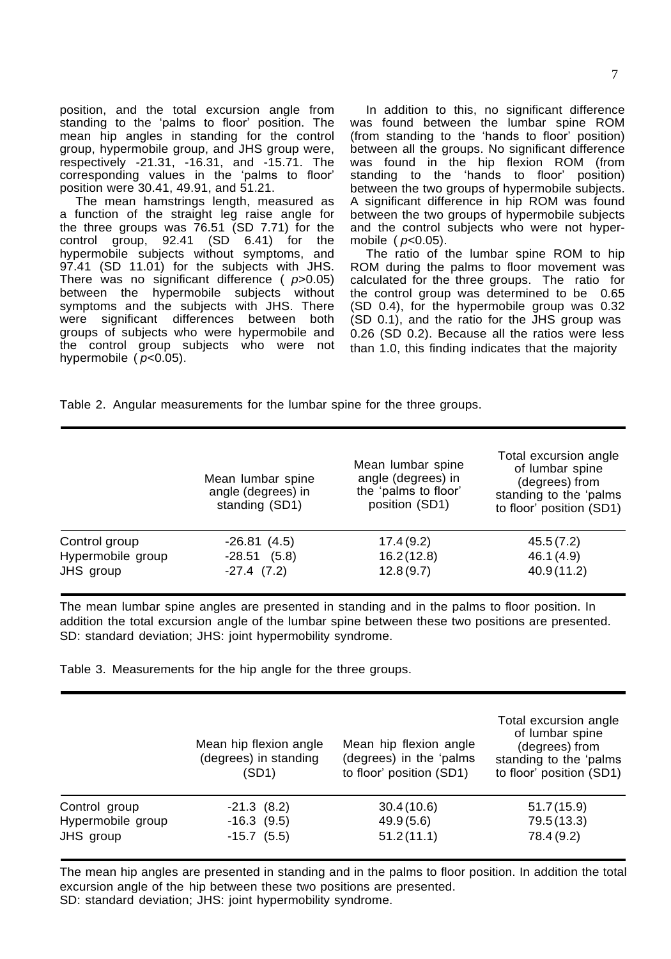position, and the total excursion angle from standing to the 'palms to floor' position. The mean hip angles in standing for the control group, hypermobile group, and JHS group were, respectively -21.31, -16.31, and -15.71. The corresponding values in the 'palms to floor' position were 30.41, 49.91, and 51.21.

The mean hamstrings length, measured as a function of the straight leg raise angle for the three groups was 76.51 (SD 7.71) for the control group, 92.41 (SD 6.41) for the hypermobile subjects without symptoms, and 97.41 (SD 11.01) for the subjects with JHS. There was no significant difference ( *p*>0.05)<br>between the hypermobile subiects without between the hypermobile subjects symptoms and the subjects with JHS. There were significant differences between both groups of subjects who were hypermobile and the control group subjects who were not hypermobile ( *p*<0.05).

In addition to this, no significant difference was found between the lumbar spine ROM (from standing to the 'hands to floor' position) between all the groups. No significant difference was found in the hip flexion ROM (from standing to the 'hands to floor' position) between the two groups of hypermobile subjects. A significant difference in hip ROM was found between the two groups of hypermobile subjects and the control subjects who were not hypermobile ( *p*<0.05).

The ratio of the lumbar spine ROM to hip ROM during the palms to floor movement was calculated for the three groups. The ratio for the control group was determined to be 0.65 (SD 0.4), for the hypermobile group was 0.32 (SD 0.1), and the ratio for the JHS group was 0.26 (SD 0.2). Because all the ratios were less than 1.0, this finding indicates that the majority

Table 2. Angular measurements for the lumbar spine for the three groups.

|                   | Mean lumbar spine<br>angle (degrees) in<br>standing (SD1) | Mean lumbar spine<br>angle (degrees) in<br>the 'palms to floor'<br>position (SD1) | Total excursion angle<br>of lumbar spine<br>(degrees) from<br>standing to the 'palms'<br>to floor' position (SD1) |
|-------------------|-----------------------------------------------------------|-----------------------------------------------------------------------------------|-------------------------------------------------------------------------------------------------------------------|
| Control group     | $-26.81(4.5)$                                             | 17.4(9.2)                                                                         | 45.5(7.2)                                                                                                         |
| Hypermobile group | $-28.51(5.8)$                                             | 16.2(12.8)                                                                        | 46.1 (4.9)                                                                                                        |
| JHS group         | $-27.4(7.2)$                                              | 12.8(9.7)                                                                         | 40.9(11.2)                                                                                                        |

The mean lumbar spine angles are presented in standing and in the palms to floor position. In addition the total excursion angle of the lumbar spine between these two positions are presented. SD: standard deviation; JHS: joint hypermobility syndrome.

Table 3. Measurements for the hip angle for the three groups.

|                   | Mean hip flexion angle<br>(degrees) in standing<br>(SD1) | Mean hip flexion angle<br>(degrees) in the 'palms<br>to floor' position (SD1) | Total excursion angle<br>of lumbar spine<br>(degrees) from<br>standing to the 'palms'<br>to floor' position (SD1) |
|-------------------|----------------------------------------------------------|-------------------------------------------------------------------------------|-------------------------------------------------------------------------------------------------------------------|
| Control group     | $-21.3(8.2)$                                             | 30.4(10.6)                                                                    | 51.7(15.9)                                                                                                        |
| Hypermobile group | $-16.3(9.5)$                                             | 49.9 (5.6)                                                                    | 79.5 (13.3)                                                                                                       |
| JHS group         | $-15.7$ (5.5)                                            | 51.2(11.1)                                                                    | 78.4 (9.2)                                                                                                        |

The mean hip angles are presented in standing and in the palms to floor position. In addition the total excursion angle of the hip between these two positions are presented. SD: standard deviation; JHS: joint hypermobility syndrome.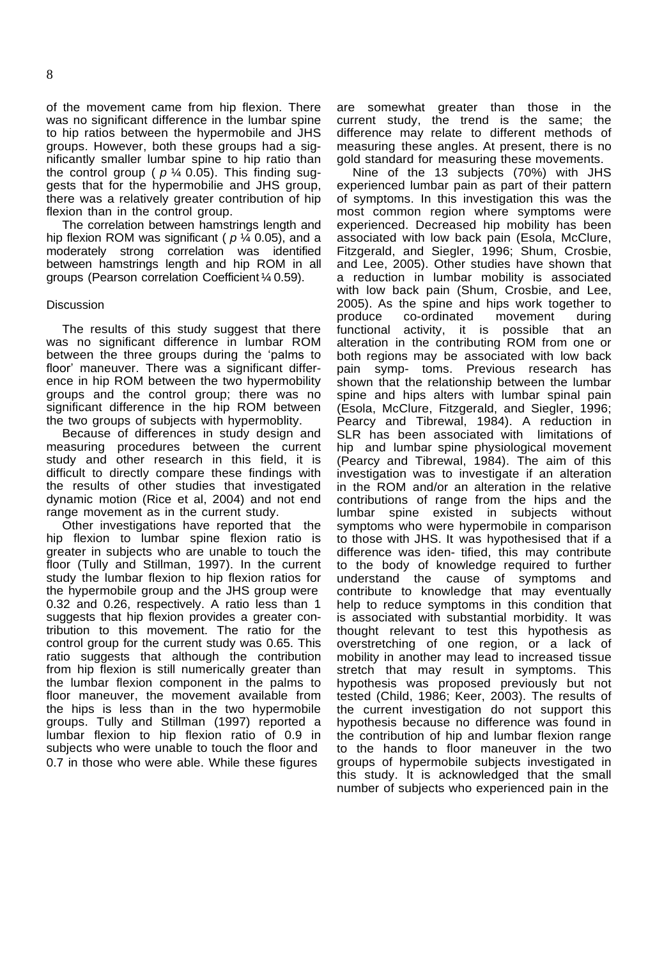of the movement came from hip flexion. There was no significant difference in the lumbar spine to hip ratios between the hypermobile and JHS groups. However, both these groups had a significantly smaller lumbar spine to hip ratio than the control group ( $p \frac{1}{4}$  0.05). This finding suggests that for the hypermobilie and JHS group, there was a relatively greater contribution of hip flexion than in the control group.

The correlation between hamstrings length and hip flexion ROM was significant ( $p \frac{1}{4}$  0.05), and a moderately strong correlation was identified between hamstrings length and hip ROM in all groups (Pearson correlation Coefficient ¼ 0.59).

#### **Discussion**

The results of this study suggest that there was no significant difference in lumbar ROM between the three groups during the 'palms to floor' maneuver. There was a significant difference in hip ROM between the two hypermobility groups and the control group; there was no significant difference in the hip ROM between the two groups of subjects with hypermoblity.

Because of differences in study design and measuring procedures between the current study and other research in this field, it is difficult to directly compare these findings with the results of other studies that investigated dynamic motion (Rice et al, 2004) and not end range movement as in the current study.

Other investigations have reported that the hip flexion to lumbar spine flexion ratio is greater in subjects who are unable to touch the floor (Tully and Stillman, 1997). In the current study the lumbar flexion to hip flexion ratios for the hypermobile group and the JHS group were 0.32 and 0.26, respectively. A ratio less than 1 suggests that hip flexion provides a greater contribution to this movement. The ratio for the control group for the current study was 0.65. This ratio suggests that although the contribution from hip flexion is still numerically greater than the lumbar flexion component in the palms to floor maneuver, the movement available from the hips is less than in the two hypermobile groups. Tully and Stillman (1997) reported a lumbar flexion to hip flexion ratio of 0.9 in subjects who were unable to touch the floor and 0.7 in those who were able. While these figures

are somewhat greater than those in the current study, the trend is the same; the difference may relate to different methods of measuring these angles. At present, there is no gold standard for measuring these movements.

Nine of the 13 subjects (70%) with JHS experienced lumbar pain as part of their pattern of symptoms. In this investigation this was the most common region where symptoms were experienced. Decreased hip mobility has been associated with low back pain (Esola, McClure, Fitzgerald, and Siegler, 1996; Shum, Crosbie, and Lee, 2005). Other studies have shown that a reduction in lumbar mobility is associated with low back pain (Shum, Crosbie, and Lee, 2005). As the spine and hips work together to produce co-ordinated movement during functional activity, it is possible that an alteration in the contributing ROM from one or both regions may be associated with low back pain symp- toms. Previous research has shown that the relationship between the lumbar spine and hips alters with lumbar spinal pain (Esola, McClure, Fitzgerald, and Siegler, 1996; Pearcy and Tibrewal, 1984). A reduction in SLR has been associated with limitations of hip and lumbar spine physiological movement (Pearcy and Tibrewal, 1984). The aim of this investigation was to investigate if an alteration in the ROM and/or an alteration in the relative contributions of range from the hips and the lumbar spine existed in subjects without symptoms who were hypermobile in comparison to those with JHS. It was hypothesised that if a difference was iden- tified, this may contribute to the body of knowledge required to further understand the cause of symptoms and contribute to knowledge that may eventually help to reduce symptoms in this condition that is associated with substantial morbidity. It was thought relevant to test this hypothesis as overstretching of one region, or a lack of mobility in another may lead to increased tissue stretch that may result in symptoms. This hypothesis was proposed previously but not tested (Child, 1986; Keer, 2003). The results of the current investigation do not support this hypothesis because no difference was found in the contribution of hip and lumbar flexion range to the hands to floor maneuver in the two groups of hypermobile subjects investigated in this study. It is acknowledged that the small number of subjects who experienced pain in the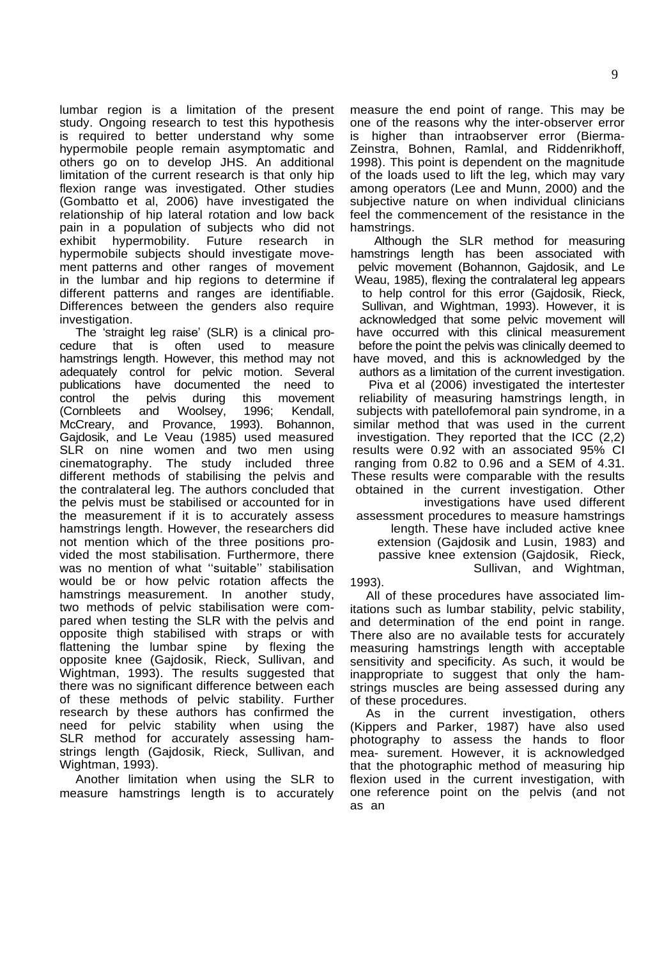lumbar region is a limitation of the present study. Ongoing research to test this hypothesis is required to better understand why some hypermobile people remain asymptomatic and others go on to develop JHS. An additional limitation of the current research is that only hip flexion range was investigated. Other studies (Gombatto et al, 2006) have investigated the relationship of hip lateral rotation and low back pain in a population of subjects who did not exhibit hypermobility. Future research in hypermobile subjects should investigate movement patterns and other ranges of movement in the lumbar and hip regions to determine if different patterns and ranges are identifiable. Differences between the genders also require investigation.

The 'straight leg raise' (SLR) is a clinical procedure that is often used to hamstrings length. However, this method may not adequately control for pelvic motion. Several publications have documented the need to control the pelvis during this movement (Cornbleets and Woolsey, 1996; Kendall, McCreary, and Provance, 1993). Bohannon, Gajdosik, and Le Veau (1985) used measured SLR on nine women and two men using cinematography. The study included three different methods of stabilising the pelvis and the contralateral leg. The authors concluded that the pelvis must be stabilised or accounted for in the measurement if it is to accurately assess hamstrings length. However, the researchers did not mention which of the three positions provided the most stabilisation. Furthermore, there was no mention of what ''suitable'' stabilisation would be or how pelvic rotation affects the hamstrings measurement. In another study, two methods of pelvic stabilisation were compared when testing the SLR with the pelvis and opposite thigh stabilised with straps or with flattening the lumbar spine by flexing the opposite knee (Gajdosik, Rieck, Sullivan, and Wightman, 1993). The results suggested that there was no significant difference between each of these methods of pelvic stability. Further research by these authors has confirmed the need for pelvic stability when using the SLR method for accurately assessing hamstrings length (Gajdosik, Rieck, Sullivan, and Wightman, 1993).

Another limitation when using the SLR to measure hamstrings length is to accurately measure the end point of range. This may be one of the reasons why the inter-observer error is higher than intraobserver error (Bierma-Zeinstra, Bohnen, Ramlal, and Riddenrikhoff, 1998). This point is dependent on the magnitude of the loads used to lift the leg, which may vary among operators (Lee and Munn, 2000) and the subjective nature on when individual clinicians feel the commencement of the resistance in the hamstrings.

Although the SLR method for measuring hamstrings length has been associated with pelvic movement (Bohannon, Gajdosik, and Le Weau, 1985), flexing the contralateral leg appears to help control for this error (Gajdosik, Rieck, Sullivan, and Wightman, 1993). However, it is acknowledged that some pelvic movement will have occurred with this clinical measurement before the point the pelvis was clinically deemed to have moved, and this is acknowledged by the authors as a limitation of the current investigation.

Piva et al (2006) investigated the intertester reliability of measuring hamstrings length, in subjects with patellofemoral pain syndrome, in a similar method that was used in the current investigation. They reported that the ICC (2,2) results were 0.92 with an associated 95% CI ranging from 0.82 to 0.96 and a SEM of 4.31. These results were comparable with the results obtained in the current investigation. Other investigations have used different assessment procedures to measure hamstrings length. These have included active knee extension (Gajdosik and Lusin, 1983) and passive knee extension (Gajdosik, Rieck, Sullivan, and Wightman,

1993).

All of these procedures have associated limitations such as lumbar stability, pelvic stability, and determination of the end point in range. There also are no available tests for accurately measuring hamstrings length with acceptable sensitivity and specificity. As such, it would be inappropriate to suggest that only the hamstrings muscles are being assessed during any of these procedures.

As in the current investigation, others (Kippers and Parker, 1987) have also used photography to assess the hands to floor mea- surement. However, it is acknowledged that the photographic method of measuring hip flexion used in the current investigation, with one reference point on the pelvis (and not as an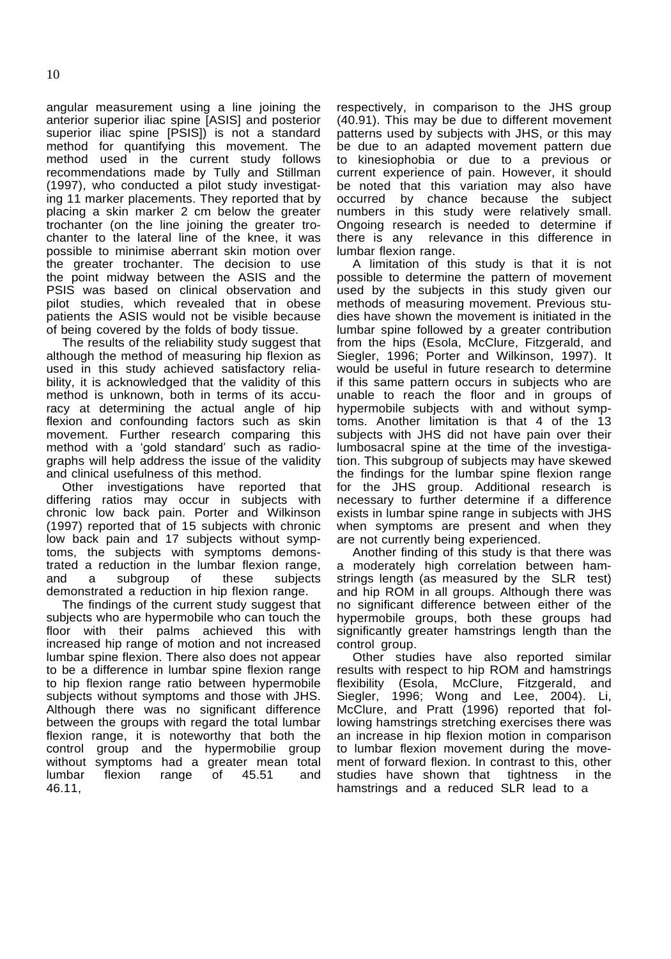angular measurement using a line joining the anterior superior iliac spine [ASIS] and posterior superior iliac spine [PSIS]) is not a standard method for quantifying this movement. The method used in the current study follows recommendations made by Tully and Stillman (1997), who conducted a pilot study investigating 11 marker placements. They reported that by placing a skin marker 2 cm below the greater trochanter (on the line joining the greater trochanter to the lateral line of the knee, it was possible to minimise aberrant skin motion over the greater trochanter. The decision to use the point midway between the ASIS and the PSIS was based on clinical observation and pilot studies, which revealed that in obese patients the ASIS would not be visible because of being covered by the folds of body tissue.

The results of the reliability study suggest that although the method of measuring hip flexion as used in this study achieved satisfactory reliability, it is acknowledged that the validity of this method is unknown, both in terms of its accuracy at determining the actual angle of hip flexion and confounding factors such as skin movement. Further research comparing this method with a 'gold standard' such as radiographs will help address the issue of the validity and clinical usefulness of this method.

Other investigations have reported that differing ratios may occur in subjects with chronic low back pain. Porter and Wilkinson (1997) reported that of 15 subjects with chronic low back pain and 17 subjects without symptoms, the subjects with symptoms demonstrated a reduction in the lumbar flexion range, and a subgroup of these subjects demonstrated a reduction in hip flexion range.

The findings of the current study suggest that subjects who are hypermobile who can touch the floor with their palms achieved this with increased hip range of motion and not increased lumbar spine flexion. There also does not appear to be a difference in lumbar spine flexion range to hip flexion range ratio between hypermobile subjects without symptoms and those with JHS. Although there was no significant difference between the groups with regard the total lumbar flexion range, it is noteworthy that both the control group and the hypermobilie group without symptoms had a greater mean total lumbar flexion range of 45.51 and 46.11,

respectively, in comparison to the JHS group (40.91). This may be due to different movement patterns used by subjects with JHS, or this may be due to an adapted movement pattern due to kinesiophobia or due to a previous or current experience of pain. However, it should be noted that this variation may also have occurred by chance because the subject numbers in this study were relatively small. Ongoing research is needed to determine if there is any relevance in this difference in lumbar flexion range.

A limitation of this study is that it is not possible to determine the pattern of movement used by the subjects in this study given our methods of measuring movement. Previous studies have shown the movement is initiated in the lumbar spine followed by a greater contribution from the hips (Esola, McClure, Fitzgerald, and Siegler, 1996; Porter and Wilkinson, 1997). It would be useful in future research to determine if this same pattern occurs in subjects who are unable to reach the floor and in groups of hypermobile subjects with and without symptoms. Another limitation is that 4 of the 13 subjects with JHS did not have pain over their lumbosacral spine at the time of the investigation. This subgroup of subjects may have skewed the findings for the lumbar spine flexion range for the JHS group. Additional research is necessary to further determine if a difference exists in lumbar spine range in subjects with JHS when symptoms are present and when they are not currently being experienced.

Another finding of this study is that there was a moderately high correlation between hamstrings length (as measured by the SLR test) and hip ROM in all groups. Although there was no significant difference between either of the hypermobile groups, both these groups had significantly greater hamstrings length than the control group.

Other studies have also reported similar results with respect to hip ROM and hamstrings flexibility (Esola, McClure, Fitzgerald, and Siegler, 1996; Wong and Lee, 2004). Li, McClure, and Pratt (1996) reported that following hamstrings stretching exercises there was an increase in hip flexion motion in comparison to lumbar flexion movement during the movement of forward flexion. In contrast to this, other studies have shown that tightness in the hamstrings and a reduced SLR lead to a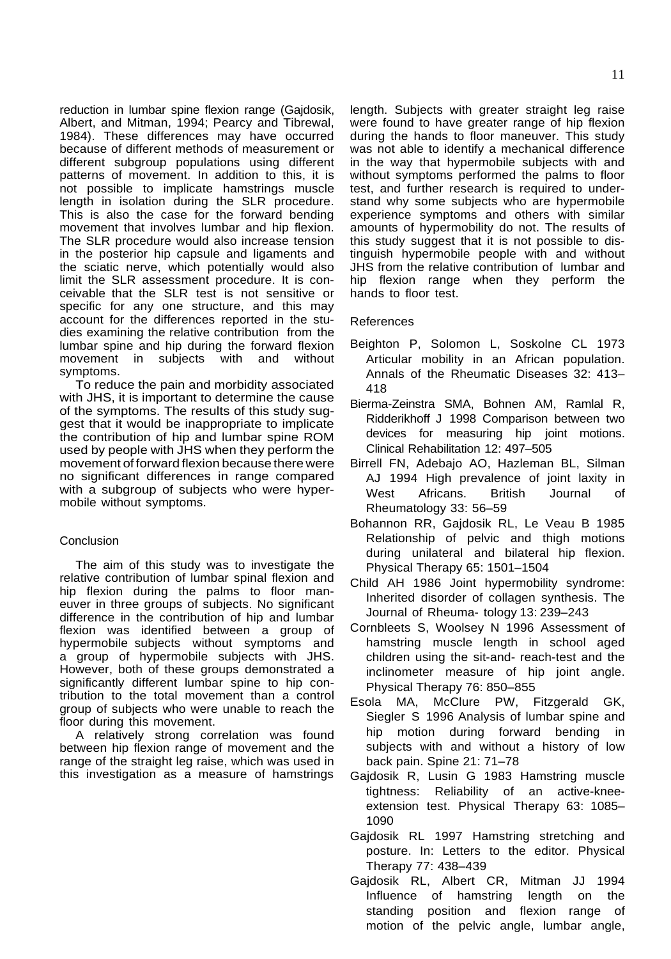reduction in lumbar spine flexion range (Gajdosik, Albert, and Mitman, 1994; Pearcy and Tibrewal, 1984). These differences may have occurred because of different methods of measurement or different subgroup populations using different patterns of movement. In addition to this, it is not possible to implicate hamstrings muscle length in isolation during the SLR procedure. This is also the case for the forward bending movement that involves lumbar and hip flexion. The SLR procedure would also increase tension in the posterior hip capsule and ligaments and the sciatic nerve, which potentially would also limit the SLR assessment procedure. It is conceivable that the SLR test is not sensitive or specific for any one structure, and this may account for the differences reported in the studies examining the relative contribution from the lumbar spine and hip during the forward flexion movement in subjects with and without symptoms.

To reduce the pain and morbidity associated with JHS, it is important to determine the cause of the symptoms. The results of this study suggest that it would be inappropriate to implicate the contribution of hip and lumbar spine ROM used by people with JHS when they perform the movement of forward flexion because there were no significant differences in range compared with a subgroup of subjects who were hypermobile without symptoms.

# Conclusion

The aim of this study was to investigate the relative contribution of lumbar spinal flexion and hip flexion during the palms to floor maneuver in three groups of subjects. No significant difference in the contribution of hip and lumbar flexion was identified between a group of hypermobile subjects without symptoms and a group of hypermobile subjects with JHS. However, both of these groups demonstrated a significantly different lumbar spine to hip contribution to the total movement than a control group of subjects who were unable to reach the floor during this movement.

A relatively strong correlation was found between hip flexion range of movement and the range of the straight leg raise, which was used in this investigation as a measure of hamstrings

length. Subjects with greater straight leg raise were found to have greater range of hip flexion during the hands to floor maneuver. This study was not able to identify a mechanical difference in the way that hypermobile subjects with and without symptoms performed the palms to floor test, and further research is required to understand why some subjects who are hypermobile experience symptoms and others with similar amounts of hypermobility do not. The results of this study suggest that it is not possible to distinguish hypermobile people with and without JHS from the relative contribution of lumbar and hip flexion range when they perform the hands to floor test.

# References

- Beighton P, Solomon L, Soskolne CL 1973 Articular mobility in an African population. Annals of the Rheumatic Diseases 32: 413– 418
- Bierma-Zeinstra SMA, Bohnen AM, Ramlal R, Ridderikhoff J 1998 Comparison between two devices for measuring hip joint motions. Clinical Rehabilitation 12: 497–505
- Birrell FN, Adebajo AO, Hazleman BL, Silman AJ 1994 High prevalence of joint laxity in West Africans. British Journal of Rheumatology 33: 56–59
- Bohannon RR, Gajdosik RL, Le Veau B 1985 Relationship of pelvic and thigh motions during unilateral and bilateral hip flexion. Physical Therapy 65: 1501–1504
- Child AH 1986 Joint hypermobility syndrome: Inherited disorder of collagen synthesis. The Journal of Rheuma- tology 13: 239–243
- Cornbleets S, Woolsey N 1996 Assessment of hamstring muscle length in school aged children using the sit-and- reach-test and the inclinometer measure of hip joint angle. Physical Therapy 76: 850–855
- Esola MA, McClure PW, Fitzgerald GK, Siegler S 1996 Analysis of lumbar spine and hip motion during forward bending in subjects with and without a history of low back pain. Spine 21: 71–78
- Gajdosik R, Lusin G 1983 Hamstring muscle tightness: Reliability of an active-kneeextension test. Physical Therapy 63: 1085– 1090
- Gajdosik RL 1997 Hamstring stretching and posture. In: Letters to the editor. Physical Therapy 77: 438–439
- Gajdosik RL, Albert CR, Mitman JJ 1994 Influence of hamstring length on the standing position and flexion range of motion of the pelvic angle, lumbar angle,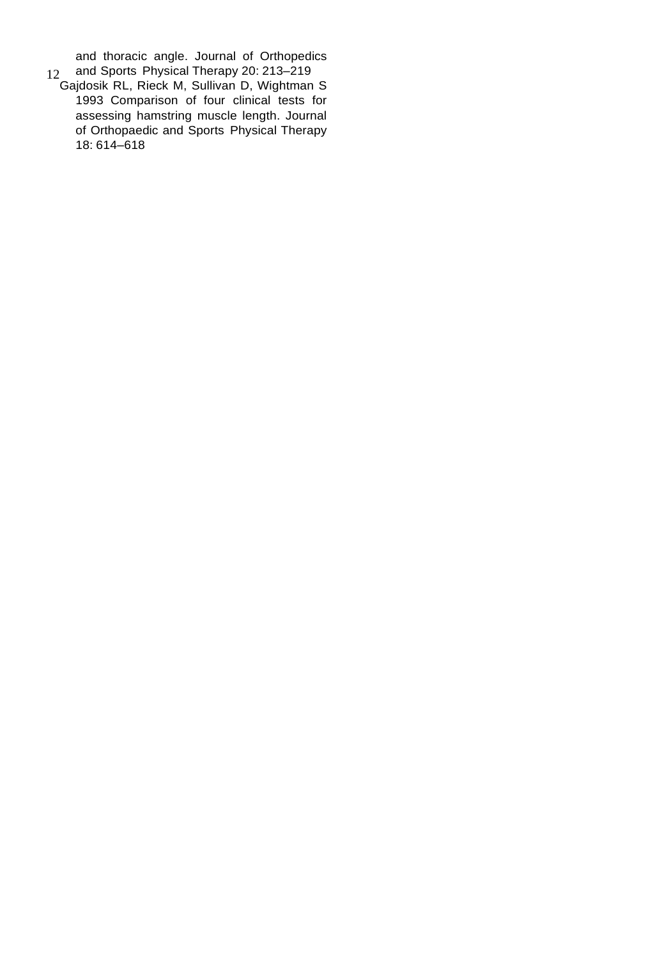and thoracic angle. Journal of Orthopedics

12 and Sports Physical Therapy 20: 213–219 Gajdosik RL, Rieck M, Sullivan D, Wightman S 1993 Comparison of four clinical tests for assessing hamstring muscle length. Journal of Orthopaedic and Sports Physical Therapy 18: 614–618